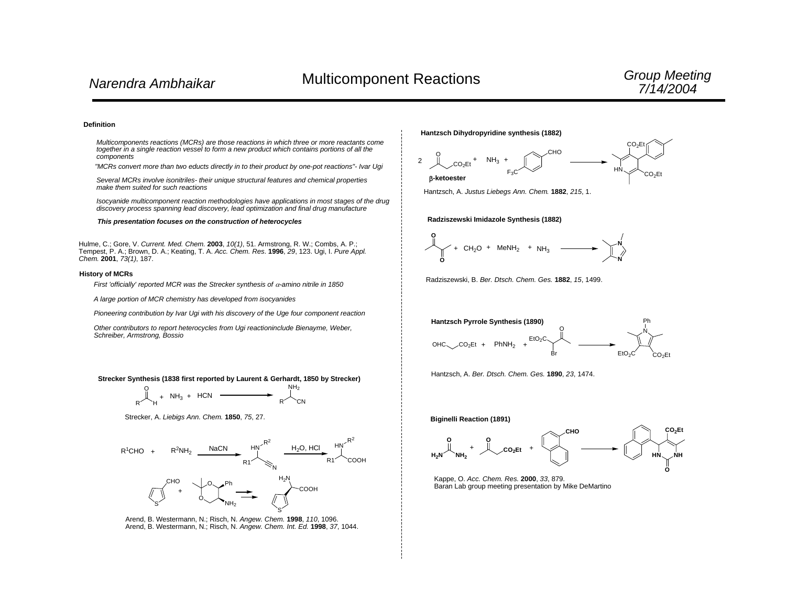#### **Definition**

*Multicomponents reactions (MCRs) are those reactions in which three or more reactants come together in a single reaction vessel to form a new product which contains portions of all the components*

*"MCRs convert more than two educts directly in to their product by one-pot reactions"- Ivar Ugi*

*Several MCRs involve isonitriles- their unique structural features and chemical properties make them suited for such reactions*

*Isocyanide multicomponent reaction methodologies have applications in most stages of the drug discovery process spanning lead discovery, lead optimization and final drug manufacture*

*This presentation focuses on the construction of heterocycles*

Hulme, C.; Gore, V. *Current. Med. Chem.* **2003**, *10(1)*, 51. Armstrong, R. W.; Combs, A. P.; Tempest, P. A.; Brown, D. A.; Keating, T. A. *Acc. Chem. Res*. **1996**, *29*, 123. Ugi, I. *Pure Appl. Chem.* **2001**, *73(1)*, 187.

#### **History of MCRs**

*First 'officially' reported MCR was the Strecker synthesis of* <sup>α</sup>*-amino nitrile in 1850*

*A large portion of MCR chemistry has developed from isocyanides*

*Pioneering contribution by Ivar Ugi with his discovery of the Uge four component reaction*

*Other contributors to report heterocycles from Ugi reactioninclude Bienayme, Weber, Schreiber, Armstrong, Bossio*

**Strecker Synthesis (1838 first reported by Laurent & Gerhardt, 1850 by Strecker)**



Strecker, A. *Liebigs Ann. Chem.* **1850**, *75*, 27.



Arend, B. Westermann, N.; Risch, N. *Angew. Chem.* **1998**, *110*, 1096. Arend, B. Westermann, N.; Risch, N. *Angew. Chem. Int. Ed.* **1998**, *37*, 1044.

#### **Hantzsch Dihydropyridine synthesis (1882)**



Hantzsch, A. *Justus Liebegs Ann. Chem.* **1882**, *215*, 1.

#### **Radziszewski Imidazole Synthesis (1882)**



Radziszewski, B. *Ber. Dtsch. Chem. Ges.* **1882**, *15*, 1499.



Hantzsch, A. *Ber. Dtsch. Chem. Ges.* **1890**, *23*, 1474.

**Biginelli Reaction (1891)**



Kappe, O. *Acc. Chem. Res.* **2000**, *33*, 879. Baran Lab group meeting presentation by Mike DeMartino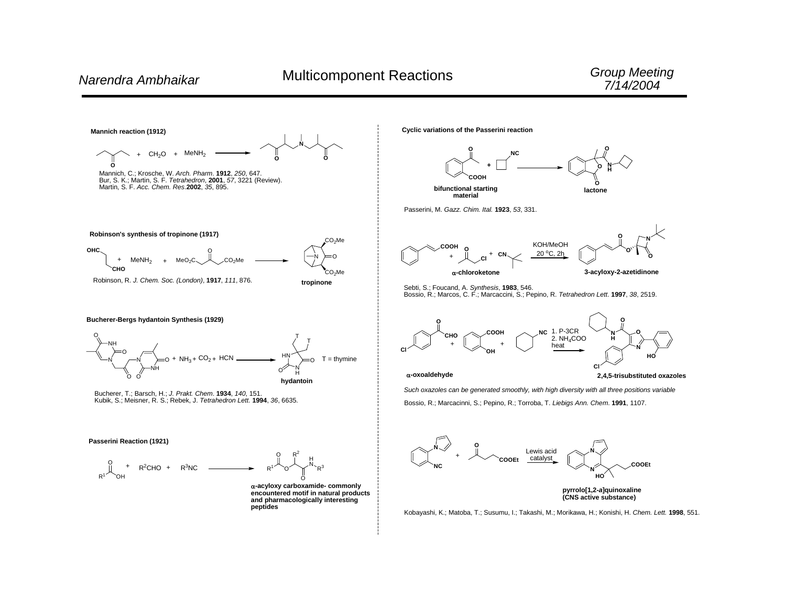

**peptides**

**Cyclic variations of the Passerini reaction**



**material**

Passerini, M. *Gazz. Chim. Ital.* **1923**, *53*, 331.





**3-acyloxy-2-azetidinone**

Sebti, S.; Foucand, A. *Synthesis*, **1983**, 546. Bossio, R.; Marcos, C. F.; Marcaccini, S.; Pepino, R. *Tetrahedron Lett*. **1997**, *38*, 2519.



<sup>α</sup>**-oxoaldehyde**

**2,4,5-trisubstituted oxazoles**

*Such oxazoles can be generated smoothly, with high diversity with all three positions variable* Bossio, R.; Marcacinni, S.; Pepino, R.; Torroba, T. *Liebigs Ann. Chem*. **1991**, 1107.



Kobayashi, K.; Matoba, T.; Susumu, I.; Takashi, M.; Morikawa, H.; Konishi, H. *Chem. Lett.* **1998**, 551.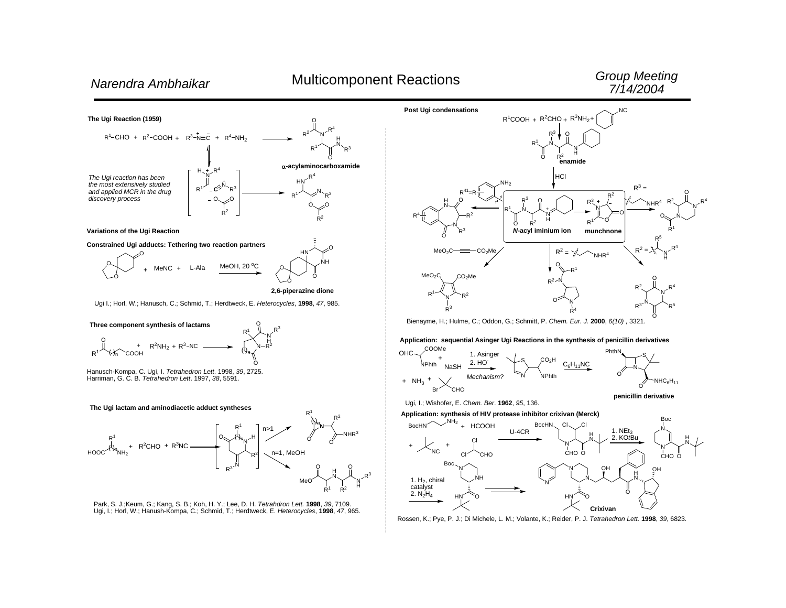# *G roup Me eting 7/14/2004*







Bienayme, H.; Hulme, C.; Oddon, G.; Schmitt, P. *Chem. Eur. J.* **2000**, *6(10)* , 3321.

## **Application: sequential Asinger Ugi Reactions in the synthesis of penicillin derivatives**



Ugi, I.; Wishofer, E. *Chem. Ber*. **1962**, *95*, 136.

### **Application: synthesis of HIV protease inhibitor crixivan (Merck)**



Rossen, K.; Pye, P. J.; Di Michele, L. M.; Volante, K.; Reider, P. J. *Tetrahedron Lett.* **1998**, *39*, 6823.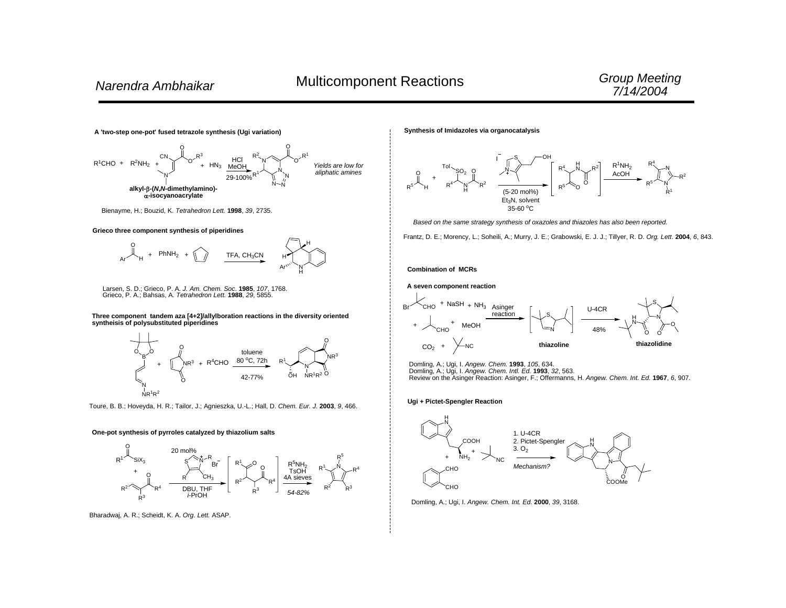

**Synthesis of Imidazoles via organocatalysis**



*Based on the same strategy synthesis of oxazoles and thiazoles has also been reported.*

Frantz, D. E.; Morency, L.; Soheili, A.; Murry, J. E.; Grabowski, E. J. J.; Tillyer, R. D. *Org. Lett*. **2004**, *6*, 843.

#### **Combination of MCRs**

**A seven component reaction**



Domling, A.; Ugi, I. *Angew. Chem.* **1993**, *105*, 634. Domling, A.; Ugi, I. *Angew. Chem. Intl. Ed.* **1993**, *32*, 563. Review on the Asinger Reaction: Asinger, F.; Offermanns, H. *Angew. Chem. Int. Ed.* **1967**, *6*, 907.

#### **Ugi + Pictet-Spengler Reaction**



Domling, A.; Ugi, I. *Angew. Chem. Int. Ed.* **2000**, *39*, 3168.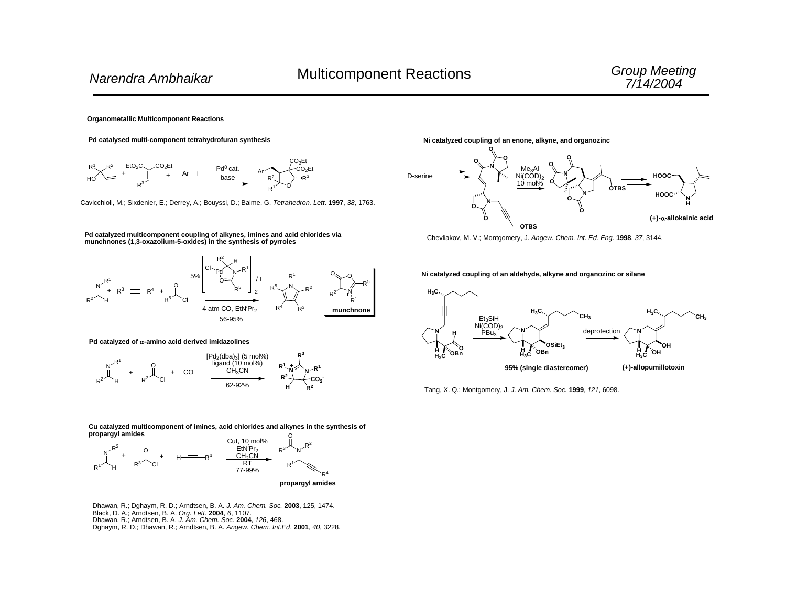#### **Organometallic Multicomponent Reactions**



Cavicchioli, M.; Sixdenier, E.; Derrey, A.; Bouyssi, D.; Balme, G. *Tetrahedron. Lett*. **1997**, *38*, 1763.

#### **Pd catalyzed multicomponent coupling of alkynes, imines and acid chlorides via munchnones (1,3-oxazolium-5-oxides) in the synthesis of pyrroles**



#### **Pd catalyzed of** <sup>α</sup>**-amino acid derived imidazolines**



#### O**Cu catalyzed multicomponent of imines, acid chlorides and alkynes in the synthesis of propargyl amides**



Dhawan, R.; Dghaym, R. D.; Arndtsen, B. A. *J. Am. Chem. Soc.* **2003**, 125, 1474. Black, D. A.; Arndtsen, B. A. *Org. Lett.* **2004**, *6*, 1107. Dhawan, R.; Arndtsen, B. A. *J. Am. Chem. Soc*. **2004**, *126*, 468. Dghaym, R. D.; Dhawan, R.; Arndtsen, B. A. *Angew. Chem. Int.Ed*. **2001**, *40*, 3228. **Ni catalyzed coupling of an enone, alkyne, and organozinc**



Chevliakov, M. V.; Montgomery, J. *Angew. Chem. Int. Ed. Eng*. **1998**, *37*, 3144.

**Ni catalyzed coupling of an aldehyde, alkyne and organozinc or silane**



Tang, X. Q.; Montgomery, J. *J. Am. Chem. Soc.* **1999**, *121*, 6098.